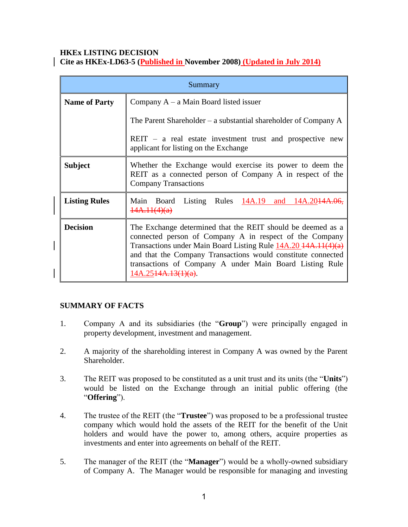# **HKEx LISTING DECISION**

| Summary              |                                                                                                                                                                                                                                                                                                                                               |
|----------------------|-----------------------------------------------------------------------------------------------------------------------------------------------------------------------------------------------------------------------------------------------------------------------------------------------------------------------------------------------|
| <b>Name of Party</b> | Company $A - a$ Main Board listed issuer                                                                                                                                                                                                                                                                                                      |
|                      | The Parent Shareholder – a substantial shareholder of Company $A$                                                                                                                                                                                                                                                                             |
|                      | $REIT - a$ real estate investment trust and prospective new<br>applicant for listing on the Exchange                                                                                                                                                                                                                                          |
| <b>Subject</b>       | Whether the Exchange would exercise its power to deem the<br>REIT as a connected person of Company A in respect of the<br><b>Company Transactions</b>                                                                                                                                                                                         |
| <b>Listing Rules</b> | Main Board Listing Rules 14A.19 and 14A.2044A<br>14A.11(4)(a)                                                                                                                                                                                                                                                                                 |
| <b>Decision</b>      | The Exchange determined that the REIT should be deemed as a<br>connected person of Company A in respect of the Company<br>Transactions under Main Board Listing Rule 14A.20 14A.11(4)(a)<br>and that the Company Transactions would constitute connected<br>transactions of Company A under Main Board Listing Rule<br>$14A.2544A.13(1)(a)$ . |

## **SUMMARY OF FACTS**

- 1. Company A and its subsidiaries (the "**Group**") were principally engaged in property development, investment and management.
- 2. A majority of the shareholding interest in Company A was owned by the Parent Shareholder.
- 3. The REIT was proposed to be constituted as a unit trust and its units (the "**Units**") would be listed on the Exchange through an initial public offering (the "**Offering**").
- 4. The trustee of the REIT (the "**Trustee**") was proposed to be a professional trustee company which would hold the assets of the REIT for the benefit of the Unit holders and would have the power to, among others, acquire properties as investments and enter into agreements on behalf of the REIT.
- 5. The manager of the REIT (the "**Manager**") would be a wholly-owned subsidiary of Company A. The Manager would be responsible for managing and investing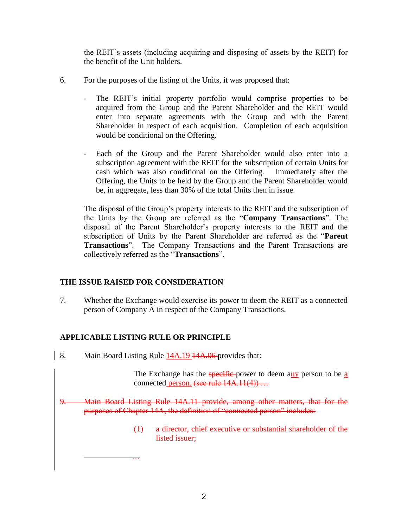the REIT's assets (including acquiring and disposing of assets by the REIT) for the benefit of the Unit holders.

- 6. For the purposes of the listing of the Units, it was proposed that:
	- The REIT's initial property portfolio would comprise properties to be acquired from the Group and the Parent Shareholder and the REIT would enter into separate agreements with the Group and with the Parent Shareholder in respect of each acquisition. Completion of each acquisition would be conditional on the Offering.
	- Each of the Group and the Parent Shareholder would also enter into a subscription agreement with the REIT for the subscription of certain Units for cash which was also conditional on the Offering. Immediately after the Offering, the Units to be held by the Group and the Parent Shareholder would be, in aggregate, less than 30% of the total Units then in issue.

The disposal of the Group's property interests to the REIT and the subscription of the Units by the Group are referred as the "**Company Transactions**". The disposal of the Parent Shareholder's property interests to the REIT and the subscription of Units by the Parent Shareholder are referred as the "**Parent Transactions**". The Company Transactions and the Parent Transactions are collectively referred as the "**Transactions**".

## **THE ISSUE RAISED FOR CONSIDERATION**

7. Whether the Exchange would exercise its power to deem the REIT as a connected person of Company A in respect of the Company Transactions.

# **APPLICABLE LISTING RULE OR PRINCIPLE**

…

8. Main Board Listing Rule 14A.19 14A.06 provides that:

The Exchange has the specific-power to deem any person to be a connected person. (see rule  $14A.11(4)$ ) ...

9. Main Board Listing Rule 14A.11 provide, among other matters, that for the purposes of Chapter 14A, the definition of "connected person" includes:

> (1) a director, chief executive or substantial shareholder of the listed issuer;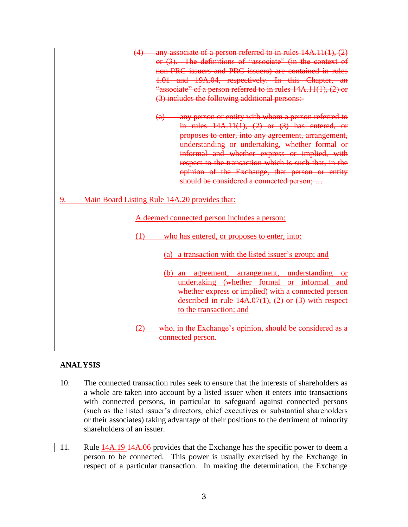- (4) any associate of a person referred to in rules 14A.11(1), (2) or (3). The definitions of "associate" (in the context of non-PRC issuers and PRC issuers) are contained in rules 1.01 and 19A.04, respectively. In this Chapter, an "associate" of a person referred to in rules 14A.11(1), (2) or (3) includes the following additional persons:-
	- (a) any person or entity with whom a person referred to in rules  $14A.11(1)$ ,  $(2)$  or  $(3)$  has entered, or proposes to enter, into any agreement, arrangement, understanding or undertaking, whether formal or informal and whether express or implied, with respect to the transaction which is such that, in the opinion of the Exchange, that person or entity should be considered a connected person; …

## 9. Main Board Listing Rule 14A.20 provides that:

A deemed connected person includes a person:

- (1) who has entered, or proposes to enter, into:
	- (a) a transaction with the listed issuer's group; and
	- (b) an agreement, arrangement, understanding or undertaking (whether formal or informal and whether express or implied) with a connected person described in rule  $14A.07(1)$ ,  $(2)$  or  $(3)$  with respect to the transaction; and
- (2) who, in the Exchange's opinion, should be considered as a connected person.

### **ANALYSIS**

- 10. The connected transaction rules seek to ensure that the interests of shareholders as a whole are taken into account by a listed issuer when it enters into transactions with connected persons, in particular to safeguard against connected persons (such as the listed issuer's directors, chief executives or substantial shareholders or their associates) taking advantage of their positions to the detriment of minority shareholders of an issuer.
- 11. Rule 14A.19 <del>14A.06</del> provides that the Exchange has the specific power to deem a person to be connected. This power is usually exercised by the Exchange in respect of a particular transaction. In making the determination, the Exchange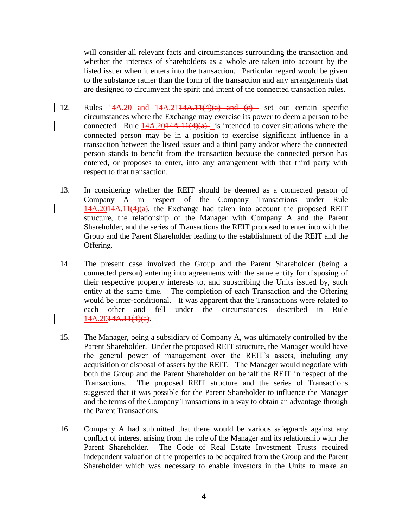will consider all relevant facts and circumstances surrounding the transaction and whether the interests of shareholders as a whole are taken into account by the listed issuer when it enters into the transaction. Particular regard would be given to the substance rather than the form of the transaction and any arrangements that are designed to circumvent the spirit and intent of the connected transaction rules.

- 12. Rules  $14A.20$  and  $14A.2114A.11(4)(a)$  and  $(e)$  set out certain specific circumstances where the Exchange may exercise its power to deem a person to be connected. Rule  $14A.2014A.11(4)(a)$  is intended to cover situations where the connected person may be in a position to exercise significant influence in a transaction between the listed issuer and a third party and/or where the connected person stands to benefit from the transaction because the connected person has entered, or proposes to enter, into any arrangement with that third party with respect to that transaction.
	- 13. In considering whether the REIT should be deemed as a connected person of Company A in respect of the Company Transactions under Rule  $14A.2014A.11(4)(a)$ , the Exchange had taken into account the proposed REIT structure, the relationship of the Manager with Company A and the Parent Shareholder, and the series of Transactions the REIT proposed to enter into with the Group and the Parent Shareholder leading to the establishment of the REIT and the Offering.
	- 14. The present case involved the Group and the Parent Shareholder (being a connected person) entering into agreements with the same entity for disposing of their respective property interests to, and subscribing the Units issued by, such entity at the same time. The completion of each Transaction and the Offering would be inter-conditional. It was apparent that the Transactions were related to each other and fell under the circumstances described in Rule  $14A.2044A.11(4)(a)$ .
	- 15. The Manager, being a subsidiary of Company A, was ultimately controlled by the Parent Shareholder. Under the proposed REIT structure, the Manager would have the general power of management over the REIT's assets, including any acquisition or disposal of assets by the REIT. The Manager would negotiate with both the Group and the Parent Shareholder on behalf the REIT in respect of the Transactions. The proposed REIT structure and the series of Transactions suggested that it was possible for the Parent Shareholder to influence the Manager and the terms of the Company Transactions in a way to obtain an advantage through the Parent Transactions.
	- 16. Company A had submitted that there would be various safeguards against any conflict of interest arising from the role of the Manager and its relationship with the Parent Shareholder. The Code of Real Estate Investment Trusts required independent valuation of the properties to be acquired from the Group and the Parent Shareholder which was necessary to enable investors in the Units to make an